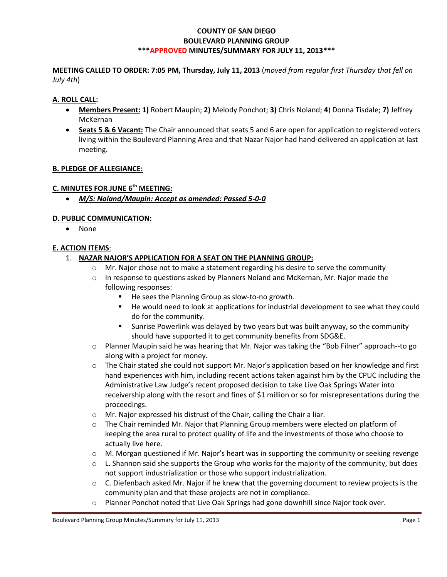### **COUNTY OF SAN DIEGO BOULEVARD PLANNING GROUP \*\*\*APPROVED MINUTES/SUMMARY FOR JULY 11, 2013\*\*\***

**MEETING CALLED TO ORDER: 7:05 PM, Thursday, July 11, 2013** (*moved from regular first Thursday that fell on July 4th*)

### **A. ROLL CALL:**

- **Members Present: 1)** Robert Maupin; **2)** Melody Ponchot; **3)** Chris Noland; **4**) Donna Tisdale; **7)** Jeffrey McKernan
- **Seats 5 & 6 Vacant:** The Chair announced that seats 5 and 6 are open for application to registered voters living within the Boulevard Planning Area and that Nazar Najor had hand-delivered an application at last meeting.

### **B. PLEDGE OF ALLEGIANCE:**

### **C. MINUTES FOR JUNE 6 th MEETING:**

*M/S: Noland/Maupin: Accept as amended: Passed 5-0-0*

### **D. PUBLIC COMMUNICATION:**

None

### **E. ACTION ITEMS**:

- 1. **NAZAR NAJOR'S APPLICATION FOR A SEAT ON THE PLANNING GROUP:**
	- o Mr. Najor chose not to make a statement regarding his desire to serve the community
	- $\circ$  In response to questions asked by Planners Noland and McKernan, Mr. Najor made the following responses:
		- He sees the Planning Group as slow-to-no growth.
		- He would need to look at applications for industrial development to see what they could do for the community.
		- Sunrise Powerlink was delayed by two years but was built anyway, so the community should have supported it to get community benefits from SDG&E.
	- o Planner Maupin said he was hearing that Mr. Najor was taking the "Bob Filner" approach--to go along with a project for money.
	- $\circ$  The Chair stated she could not support Mr. Najor's application based on her knowledge and first hand experiences with him, including recent actions taken against him by the CPUC including the Administrative Law Judge's recent proposed decision to take Live Oak Springs Water into receivership along with the resort and fines of \$1 million or so for misrepresentations during the proceedings.
	- o Mr. Najor expressed his distrust of the Chair, calling the Chair a liar.
	- o The Chair reminded Mr. Najor that Planning Group members were elected on platform of keeping the area rural to protect quality of life and the investments of those who choose to actually live here.
	- $\circ$  M. Morgan questioned if Mr. Najor's heart was in supporting the community or seeking revenge
	- $\circ$  L. Shannon said she supports the Group who works for the majority of the community, but does not support industrialization or those who support industrialization.
	- $\circ$  C. Diefenbach asked Mr. Najor if he knew that the governing document to review projects is the community plan and that these projects are not in compliance.
	- o Planner Ponchot noted that Live Oak Springs had gone downhill since Najor took over.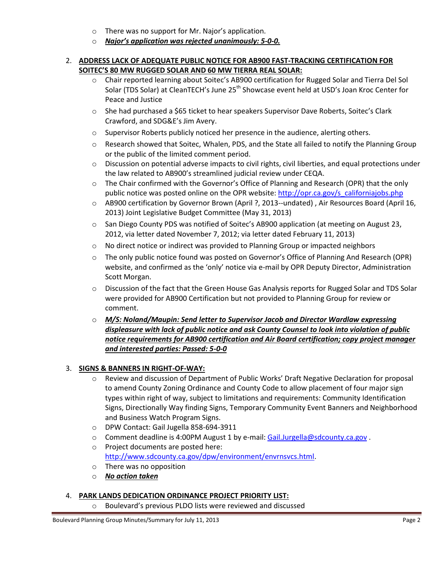- o There was no support for Mr. Najor's application.
- o *Najor's application was rejected unanimously: 5-0-0.*

### 2. **ADDRESS LACK OF ADEQUATE PUBLIC NOTICE FOR AB900 FAST-TRACKING CERTIFICATION FOR SOITEC'S 80 MW RUGGED SOLAR AND 60 MW TIERRA REAL SOLAR:**

- o Chair reported learning about Soitec's AB900 certification for Rugged Solar and Tierra Del Sol Solar (TDS Solar) at CleanTECH's June 25<sup>th</sup> Showcase event held at USD's Joan Kroc Center for Peace and Justice
- o She had purchased a \$65 ticket to hear speakers Supervisor Dave Roberts, Soitec's Clark Crawford, and SDG&E's Jim Avery.
- o Supervisor Roberts publicly noticed her presence in the audience, alerting others.
- o Research showed that Soitec, Whalen, PDS, and the State all failed to notify the Planning Group or the public of the limited comment period.
- o Discussion on potential adverse impacts to civil rights, civil liberties, and equal protections under the law related to AB900's streamlined judicial review under CEQA.
- $\circ$  The Chair confirmed with the Governor's Office of Planning and Research (OPR) that the only public notice was posted online on the OPR website: http://opr.ca.gov/s\_californiajobs.php
- o AB900 certification by Governor Brown (April ?, 2013--undated) , Air Resources Board (April 16, 2013) Joint Legislative Budget Committee (May 31, 2013)
- o San Diego County PDS was notified of Soitec's AB900 application (at meeting on August 23, 2012, via letter dated November 7, 2012; via letter dated February 11, 2013)
- $\circ$  No direct notice or indirect was provided to Planning Group or impacted neighbors
- o The only public notice found was posted on Governor's Office of Planning And Research (OPR) website, and confirmed as the 'only' notice via e-mail by OPR Deputy Director, Administration Scott Morgan.
- o Discussion of the fact that the Green House Gas Analysis reports for Rugged Solar and TDS Solar were provided for AB900 Certification but not provided to Planning Group for review or comment.
- o *M/S: Noland/Maupin: Send letter to Supervisor Jacob and Director Wardlaw expressing displeasure with lack of public notice and ask County Counsel to look into violation of public notice requirements for AB900 certification and Air Board certification; copy project manager and interested parties: Passed: 5-0-0*

## 3. **SIGNS & BANNERS IN RIGHT-OF-WAY:**

- o Review and discussion of Department of Public Works' Draft Negative Declaration for proposal to amend County Zoning Ordinance and County Code to allow placement of four major sign types within right of way, subject to limitations and requirements: Community Identification Signs, Directionally Way finding Signs, Temporary Community Event Banners and Neighborhood and Business Watch Program Signs.
- o DPW Contact: Gail Jugella 858-694-3911
- $\circ$  Comment deadline is 4:00PM August 1 by e-mail: Gail.Jurgella@sdcounty.ca.gov
- o Project documents are posted here: http://www.sdcounty.ca.gov/dpw/environment/envrnsvcs.html.
- o There was no opposition
- o *No action taken*

### 4. **PARK LANDS DEDICATION ORDINANCE PROJECT PRIORITY LIST:**

Boulevard's previous PLDO lists were reviewed and discussed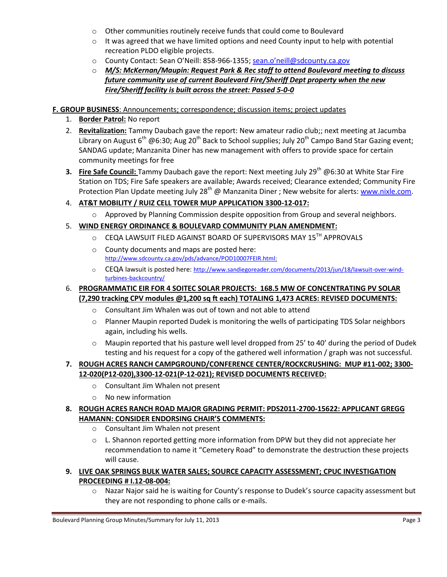- o Other communities routinely receive funds that could come to Boulevard
- $\circ$  It was agreed that we have limited options and need County input to help with potential recreation PLDO eligible projects.
- o County Contact: Sean O'Neill: 858-966-1355; sean.o'neill@sdcounty.ca.gov
- o *M/S: McKernan/Maupin: Request Park & Rec staff to attend Boulevard meeting to discuss future community use of current Boulevard Fire/Sheriff Dept property when the new Fire/Sheriff facility is built across the street: Passed 5-0-0*

## **F. GROUP BUSINESS**: Announcements; correspondence; discussion items; project updates

- 1. **Border Patrol:** No report
- 2. **Revitalization:** Tammy Daubach gave the report: New amateur radio club;; next meeting at Jacumba Library on August  $6^{th}$  @6:30; Aug 20<sup>th</sup> Back to School supplies; July 20<sup>th</sup> Campo Band Star Gazing event; SANDAG update; Manzanita Diner has new management with offers to provide space for certain community meetings for free
- **3.** Fire Safe Council: Tammy Daubach gave the report: Next meeting July 29<sup>th</sup> @6:30 at White Star Fire Station on TDS; Fire Safe speakers are available; Awards received; Clearance extended; Community Fire Protection Plan Update meeting July 28<sup>th</sup> @ Manzanita Diner ; New website for alerts: www.nixle.com.
- 4. **AT&T MOBILITY / RUIZ CELL TOWER MUP APPLICATION 3300-12-017:**
	- $\circ$  Approved by Planning Commission despite opposition from Group and several neighbors.

# 5. **WIND ENERGY ORDINANCE & BOULEVARD COMMUNITY PLAN AMENDMENT:**

- O CEQA LAWSUIT FILED AGAINST BOARD OF SUPERVISORS MAY 15TH APPROVALS
- o County documents and maps are posted here: http://www.sdcounty.ca.gov/pds/advance/POD10007FEIR.html:
- o CEQA lawsuit is posted here: http://www.sandiegoreader.com/documents/2013/jun/18/lawsuit-over-windturbines-backcountry/

## 6. **PROGRAMMATIC EIR FOR 4 SOITEC SOLAR PROJECTS: 168.5 MW OF CONCENTRATING PV SOLAR (7,290 tracking CPV modules @1,200 sq ft each) TOTALING 1,473 ACRES: REVISED DOCUMENTS:**

- o Consultant Jim Whalen was out of town and not able to attend
- $\circ$  Planner Maupin reported Dudek is monitoring the wells of participating TDS Solar neighbors again, including his wells.
- $\circ$  Maupin reported that his pasture well level dropped from 25' to 40' during the period of Dudek testing and his request for a copy of the gathered well information / graph was not successful.

# **7. ROUGH ACRES RANCH CAMPGROUND/CONFERENCE CENTER/ROCKCRUSHING: MUP #11-002; 3300- 12-020(P12-020),3300-12-021(P-12-021); REVISED DOCUMENTS RECEIVED:**

- o Consultant Jim Whalen not present
- o No new information

## **8. ROUGH ACRES RANCH ROAD MAJOR GRADING PERMIT: PDS2011-2700-15622: APPLICANT GREGG HAMANN: CONSIDER ENDORSING CHAIR'S COMMENTS:**

- o Consultant Jim Whalen not present
- o L. Shannon reported getting more information from DPW but they did not appreciate her recommendation to name it "Cemetery Road" to demonstrate the destruction these projects will cause.
- **9. LIVE OAK SPRINGS BULK WATER SALES; SOURCE CAPACITY ASSESSMENT; CPUC INVESTIGATION PROCEEDING # I.12-08-004:** 
	- o Nazar Najor said he is waiting for County's response to Dudek's source capacity assessment but they are not responding to phone calls or e-mails.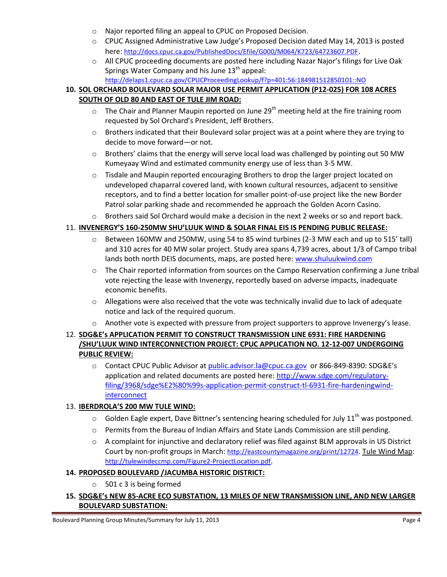- o Najor reported filing an appeal to CPUC on Proposed Decision.
- o CPUC Assigned Administrative Law Judge's Proposed Decision dated May 14, 2013 is posted here: http://docs.cpuc.ca.gov/PublishedDocs/Efile/G000/M064/K723/64723607.PDF.
- o All CPUC proceeding documents are posted here including Nazar Najor's filings for Live Oak Springs Water Company and his June  $13<sup>th</sup>$  appeal: http://delaps1.cpuc.ca.gov/CPUCProceedingLookup/f?p=401:56:184981512850101::NO

# **10. SOL ORCHARD BOULEVARD SOLAR MAJOR USE PERMIT APPLICATION (P12-025) FOR 108 ACRES SOUTH OF OLD 80 AND EAST OF TULE JIM ROAD:**

- $\circ$  The Chair and Planner Maupin reported on June 29<sup>th</sup> meeting held at the fire training room requested by Sol Orchard's President, Jeff Brothers.
- $\circ$  Brothers indicated that their Boulevard solar project was at a point where they are trying to decide to move forward—or not.
- $\circ$  Brothers' claims that the energy will serve local load was challenged by pointing out 50 MW Kumeyaay Wind and estimated community energy use of less than 3-5 MW.
- o Tisdale and Maupin reported encouraging Brothers to drop the larger project located on undeveloped chaparral covered land, with known cultural resources, adjacent to sensitive receptors, and to find a better location for smaller point-of-use project like the new Border Patrol solar parking shade and recommended he approach the Golden Acorn Casino.
- o Brothers said Sol Orchard would make a decision in the next 2 weeks or so and report back.

### 11. **INVENERGY'S 160-250MW SHU'LUUK WIND & SOLAR FINAL EIS IS PENDING PUBLIC RELEASE:**

- o Between 160MW and 250MW, using 54 to 85 wind turbines (2-3 MW each and up to 515' tall) and 310 acres for 40 MW solar project. Study area spans 4,739 acres, about 1/3 of Campo tribal lands both north DEIS documents, maps, are posted here: www.shuluukwind.com
- $\circ$  The Chair reported information from sources on the Campo Reservation confirming a June tribal vote rejecting the lease with Invenergy, reportedly based on adverse impacts, inadequate economic benefits.
- $\circ$  Allegations were also received that the vote was technically invalid due to lack of adequate notice and lack of the required quorum.
- $\circ$  Another vote is expected with pressure from project supporters to approve Invenergy's lease.

## 12. **SDG&E's APPLICATION PERMIT TO CONSTRUCT TRANSMISSION LINE 6931: FIRE HARDENING /SHU'LUUK WIND INTERCONNECTION PROJECT: CPUC APPLICATION NO. 12-12-007 UNDERGOING PUBLIC REVIEW:**

o Contact CPUC Public Advisor at public.advisor.la@cpuc.ca.gov or 866-849-8390: SDG&E's application and related documents are posted here: http://www.sdge.com/regulatoryfiling/3968/sdge%E2%80%99s-application-permit-construct-tl-6931-fire-hardeningwind**interconnect** 

### 13. **IBERDROLA'S 200 MW TULE WIND:**

- $\circ$  Golden Eagle expert, Dave Bittner's sentencing hearing scheduled for July 11<sup>th</sup> was postponed.
- o Permits from the Bureau of Indian Affairs and State Lands Commission are still pending.
- $\circ$  A complaint for injunctive and declaratory relief was filed against BLM approvals in US District Court by non-profit groups in March: http://eastcountymagazine.org/print/12724. Tule Wind Map: http://tulewindeccmp.com/Figure2-ProjectLocation.pdf.

### **14. PROPOSED BOULEVARD /JACUMBA HISTORIC DISTRICT:**

o 501 c 3 is being formed

## **15. SDG&E's NEW 85-ACRE ECO SUBSTATION, 13 MILES OF NEW TRANSMISSION LINE, AND NEW LARGER BOULEVARD SUBSTATION:**